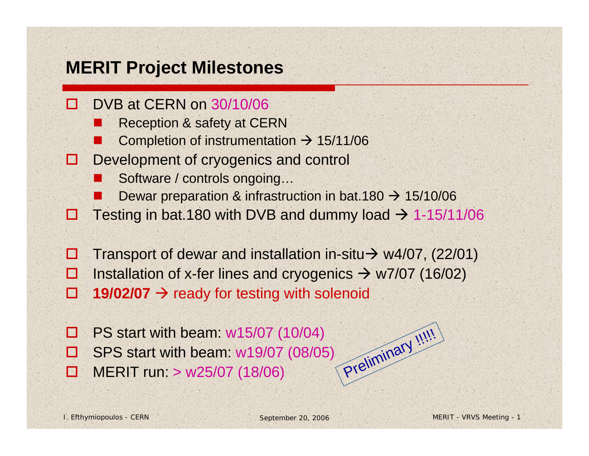## **MERIT Project Milestones**

- 團 DVB at CERN on 30/10/06
	- П Reception & safety at CERN
	- Г Completion of instrumentation  $\rightarrow$  15/11/06
- Ð. Development of cryogenics and control
	- П Software / controls ongoing…
	- Dewar preparation & infrastruction in bat.180  $\rightarrow$  15/10/06
- N Testing in bat.180 with DVB and dummy load  $\rightarrow$  1-15/11/06
- **In the** Transport of dewar and installation in-situ $\rightarrow$  w4/07, (22/01) П Installation of x-fer lines and cryogenics  $\rightarrow$  w7/07 (16/02)
- g, □ 19/02/07 → ready for testing with solenoid
- П PS start with beam: w15/07 (10/04) ◻ SPS start with beam: w19/07 (08/05) П MERIT run: > w25/07 (18/06)<br>MERIT run: > w25/07 (18/06)